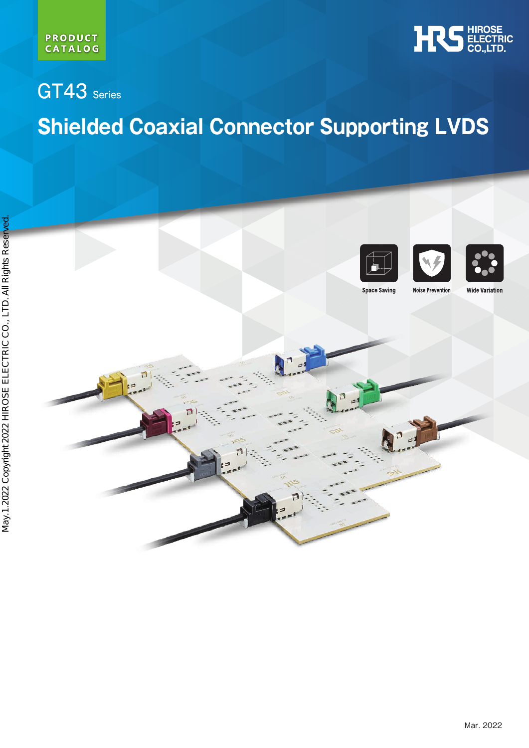



# GT43 Series **Shielded Coaxial Connector Supporting LVDS**







**Space Saving** 

**Wide Variation**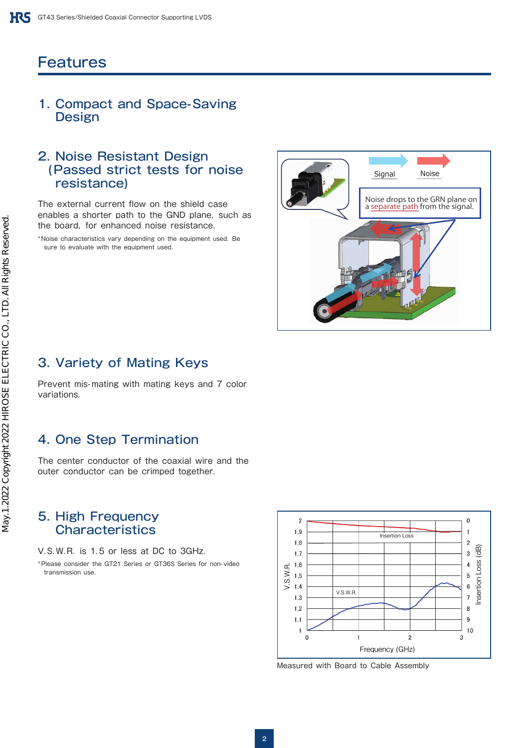# **Features**

#### 1. Compact and Space-Saving **Design**

#### 2. Noise Resistant Design (Passed strict tests for noise resistance)

The external current flow on the shield case enables a shorter path to the GND plane, such as the board, for enhanced noise resistance.

\*Noise characteristics vary depending on the equipment used. Be sure to evaluate with the equipment used.



# 3. Variety of Mating Keys

Prevent mis-mating with mating keys and 7 color variations.

# 4. One Step Termination

The center conductor of the coaxial wire and the outer conductor can be crimped together.

#### 5. High Frequency **Characteristics**

V.S.W.R. is 1.5 or less at DC to 3GHz.

\*Please consider the GT21 Series or GT36S Series for non-video transmission use.



Measured with Board to Cable Assembly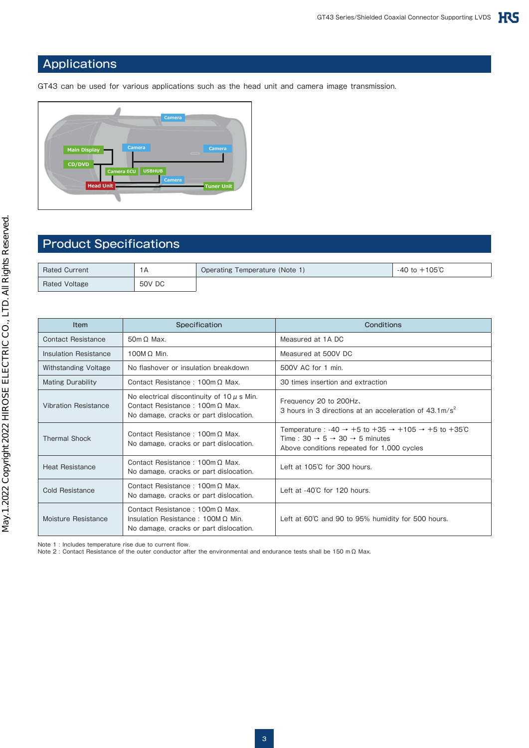#### Applications

GT43 can be used for various applications such as the head unit and camera image transmission.



# Product Specifications

| <b>Rated Current</b> | 1 А    | Operating Temperature (Note 1) | $-105^\circ$ C<br>-40 to $+$ $^{\prime}$ |
|----------------------|--------|--------------------------------|------------------------------------------|
| Rated Voltage        | 50V DC |                                |                                          |

| <b>Item</b>                 | Specification                                                                                                                      | Conditions                                                                                                                                                                                            |
|-----------------------------|------------------------------------------------------------------------------------------------------------------------------------|-------------------------------------------------------------------------------------------------------------------------------------------------------------------------------------------------------|
| <b>Contact Resistance</b>   | $50m \Omega$ Max.                                                                                                                  | Measured at 1A DC                                                                                                                                                                                     |
| Insulation Resistance       | 100M $\Omega$ Min.                                                                                                                 | Measured at 500V DC                                                                                                                                                                                   |
| Withstanding Voltage        | No flashover or insulation breakdown                                                                                               | 500V AC for 1 min.                                                                                                                                                                                    |
| <b>Mating Durability</b>    | Contact Resistance: 100m $\Omega$ Max.                                                                                             | 30 times insertion and extraction                                                                                                                                                                     |
| <b>Vibration Resistance</b> | No electrical discontinuity of $10 \mu$ s Min.<br>Contact Resistance: $100m \Omega$ Max.<br>No damage, cracks or part dislocation. | Frequency 20 to 200Hz.<br>3 hours in 3 directions at an acceleration of $43.1 \text{m/s}^2$                                                                                                           |
| <b>Thermal Shock</b>        | Contact Resistance: $100m \Omega$ Max.<br>No damage, cracks or part dislocation.                                                   | Temperature : -40 $\rightarrow$ +5 to +35 $\rightarrow$ +105 $\rightarrow$ +5 to +35°C<br>Time: $30 \rightarrow 5 \rightarrow 30 \rightarrow 5$ minutes<br>Above conditions repeated for 1,000 cycles |
| <b>Heat Resistance</b>      | Contact Resistance: $100m \Omega$ Max.<br>No damage, cracks or part dislocation.                                                   | Left at $105^\circ$ C for 300 hours.                                                                                                                                                                  |
| <b>Cold Resistance</b>      | Contact Resistance: $100m \Omega$ Max.<br>No damage, cracks or part dislocation.                                                   | Left at -40°C for 120 hours.                                                                                                                                                                          |
| Moisture Resistance         | Contact Resistance: $100m \Omega$ Max.<br>Insulation Resistance: 100M $\Omega$ Min.<br>No damage, cracks or part dislocation.      | Left at 60°C and 90 to 95% humidity for 500 hours.                                                                                                                                                    |

Note 1 : Includes temperature rise due to current flow.

Note 2 : Contact Resistance of the outer conductor after the environmental and endurance tests shall be 150 mΩ Max.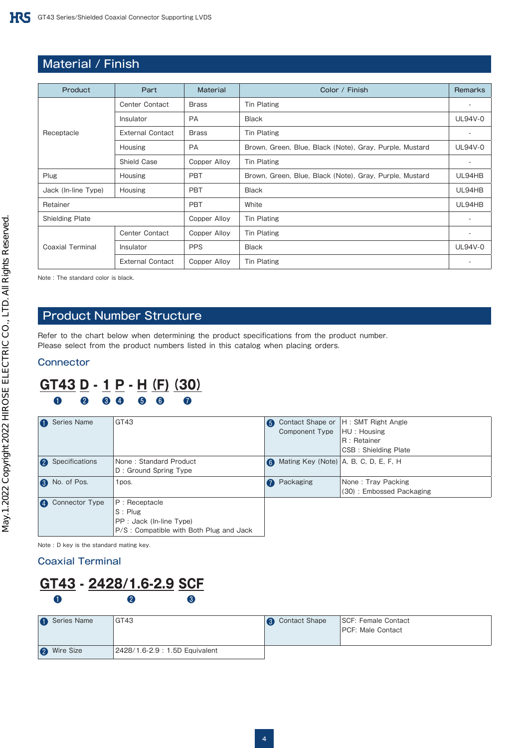# Material / Finish

| Product                | Part                    | <b>Material</b> | Color / Finish                                          | Remarks                  |
|------------------------|-------------------------|-----------------|---------------------------------------------------------|--------------------------|
|                        | Center Contact          | <b>Brass</b>    | <b>Tin Plating</b>                                      | ٠                        |
|                        | Insulator               | <b>PA</b>       | <b>Black</b>                                            | <b>UL94V-0</b>           |
| Receptacle             | <b>External Contact</b> | <b>Brass</b>    | <b>Tin Plating</b>                                      | $\overline{\phantom{a}}$ |
|                        | <b>Housing</b>          |                 | Brown, Green, Blue, Black (Note), Gray, Purple, Mustard | <b>UL94V-0</b>           |
|                        | Shield Case             | Copper Alloy    | <b>Tin Plating</b>                                      | ٠                        |
| Plug                   | Housing                 | <b>PBT</b>      | Brown, Green, Blue, Black (Note), Gray, Purple, Mustard | UL94HB                   |
| Jack (In-line Type)    | Housing                 | <b>PBT</b>      | <b>Black</b>                                            | UL94HB                   |
| Retainer               |                         | <b>PBT</b>      | White                                                   | UL94HB                   |
| <b>Shielding Plate</b> |                         | Copper Alloy    | <b>Tin Plating</b>                                      |                          |
|                        | Center Contact          | Copper Alloy    | <b>Tin Plating</b>                                      | ٠                        |
| Coaxial Terminal       | Insulator               | <b>PPS</b>      | <b>Black</b>                                            | <b>UL94V-0</b>           |
|                        | <b>External Contact</b> | Copper Alloy    | <b>Tin Plating</b>                                      | $\overline{\phantom{a}}$ |

Note : The standard color is black.

### Product Number Structure

Refer to the chart below when determining the product specifications from the product number. Please select from the product numbers listed in this catalog when placing orders.

#### **Connector**

## **GT43 D - 1 P - H(F)(30)** ❶ ❷ ❸ ❹ ❺ ❻ ❼

|                  | Series Name    | GT43                                                                                              | 6 | Component Type   HU : Housing            | Contact Shape or  H : SMT Right Angle<br>R : Retainer<br>CSB: Shielding Plate |
|------------------|----------------|---------------------------------------------------------------------------------------------------|---|------------------------------------------|-------------------------------------------------------------------------------|
| $\boldsymbol{Q}$ | Specifications | None: Standard Product<br>D: Ground Spring Type                                                   | 6 | Mating Key (Note) $ A, B, C, D, E, F, H$ |                                                                               |
|                  | No. of Pos.    | 1pos.                                                                                             |   | Packaging                                | None: Tray Packing<br>(30): Embossed Packaging                                |
|                  | Connector Type | P: Receptacle<br>$S:$ Plug<br>PP : Jack (In-line Type)<br>P/S: Compatible with Both Plug and Jack |   |                                          |                                                                               |

Note : D key is the standard mating key.

#### Coaxial Terminal

# **GT43 - 2428/1.6-2.9 SCF**  $\mathbf 0$   $\mathbf 0$   $\mathbf 0$   $\mathbf 0$

| Series Name        | GT43                          | <b>8</b> Contact Shape | SCF: Female Contact<br><b>IPCF: Male Contact</b> |
|--------------------|-------------------------------|------------------------|--------------------------------------------------|
| <b>2</b> Wire Size | 2428/1.6-2.9: 1.5D Equivalent |                        |                                                  |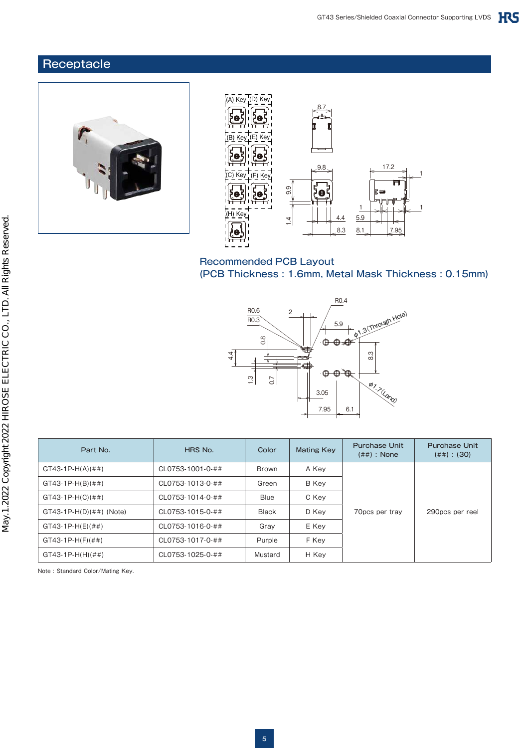## **Receptacle**





#### Recommended PCB Layout (PCB Thickness : 1.6mm, Metal Mask Thickness : 0.15mm)



| Part No.                  | HRS No.          | Color        | <b>Mating Key</b> | <b>Purchase Unit</b><br>$(\# \#)$ : None | <b>Purchase Unit</b><br>$(\# \#)$ : (30) |
|---------------------------|------------------|--------------|-------------------|------------------------------------------|------------------------------------------|
| $GT43-1P-H(A)(##)$        | CL0753-1001-0-## | <b>Brown</b> | A Key             |                                          |                                          |
| $GT43-1P-H(B)(##)$        | CL0753-1013-0-## | Green        | B Key             |                                          |                                          |
| $GT43-1P-H(C)(##)$        | CL0753-1014-0-## | <b>Blue</b>  | C Kev             |                                          |                                          |
| $GT43-1P-H(D)(##)$ (Note) | CL0753-1015-0-## | <b>Black</b> | D Key             | 70pcs per tray                           | 290pcs per reel                          |
| $GT43-1P-H(E)(##)$        | CL0753-1016-0-## | Gray         | E Key             |                                          |                                          |
| $GT43-1P-H(F)(##)$        | CL0753-1017-0-## | Purple       | F Key             |                                          |                                          |
| $GT43-1P-H(H)(##)$        | CL0753-1025-0-## | Mustard      | H Key             |                                          |                                          |

Note : Standard Color/Mating Key.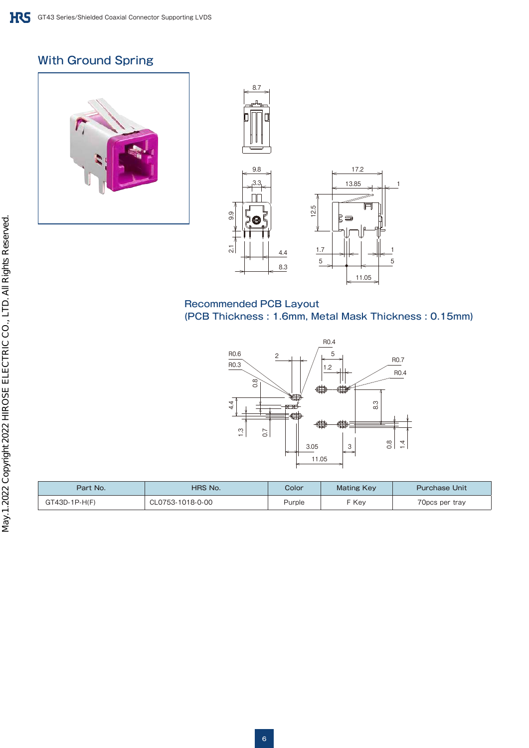# With Ground Spring





#### Recommended PCB Layout (PCB Thickness : 1.6mm, Metal Mask Thickness : 0.15mm)

1

5



| Part No.      | HRS No.          | Color  | <b>Mating Key</b> | <b>Purchase Unit</b> |
|---------------|------------------|--------|-------------------|----------------------|
| GT43D-1P-H(F) | CL0753-1018-0-00 | Purple | F Kev             | 70pcs per tray       |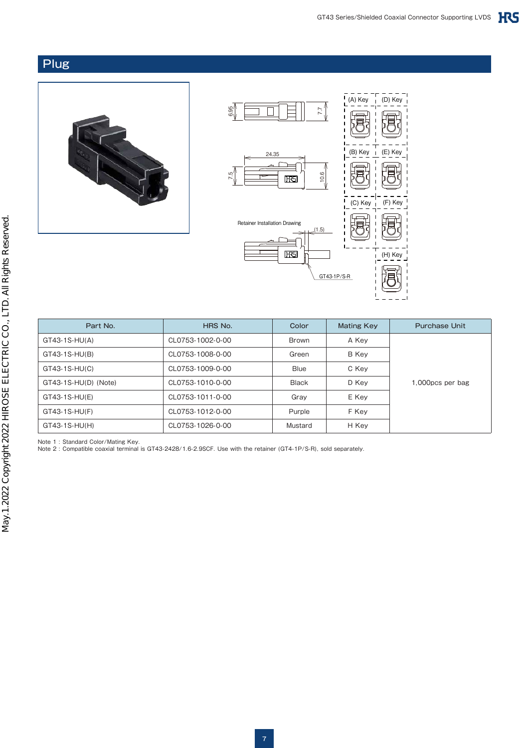#### Plug





| Part No.             | HRS No.          | Color        | <b>Mating Key</b> | <b>Purchase Unit</b> |
|----------------------|------------------|--------------|-------------------|----------------------|
| $GT43-1S-HU(A)$      | CL0753-1002-0-00 | <b>Brown</b> | A Key             |                      |
| GT43-1S-HU(B)        | CL0753-1008-0-00 | Green        | B Key             |                      |
| GT43-1S-HU(C)        | CL0753-1009-0-00 | <b>Blue</b>  | C Key             |                      |
| GT43-1S-HU(D) (Note) | CL0753-1010-0-00 | <b>Black</b> | D Kev             | 1,000pcs per bag     |
| GT43-1S-HU(E)        | CL0753-1011-0-00 | Grav         | E Key             |                      |
| GT43-1S-HU(F)        | CL0753-1012-0-00 | Purple       | F Key             |                      |
| GT43-1S-HU(H)        | CL0753-1026-0-00 | Mustard      | H Key             |                      |

Note 1 : Standard Color/Mating Key.

Note 2 : Compatible coaxial terminal is GT43-2428/1.6-2.9SCF. Use with the retainer (GT4-1P/S-R), sold separately.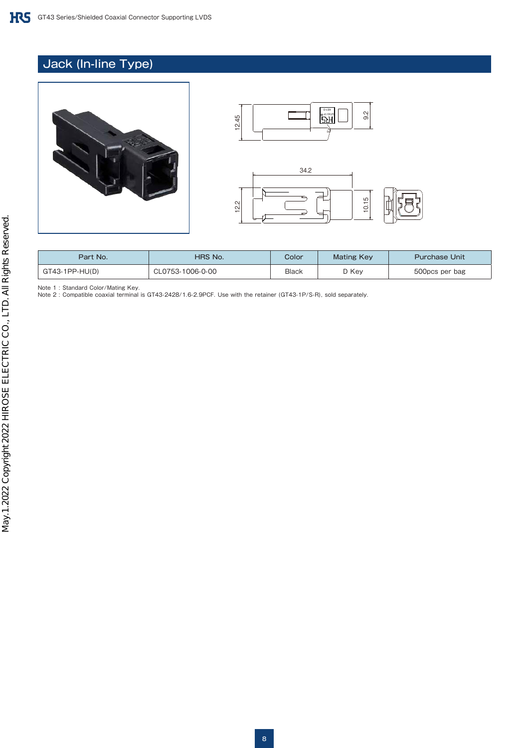# Jack (In-line Type)





| Part No.         | HRS No.          | Color | <b>Mating Key</b> | <b>Purchase Unit</b> |
|------------------|------------------|-------|-------------------|----------------------|
| $GT43-1PP-HU(D)$ | CL0753-1006-0-00 | Black | D Key             | 500pcs per bag       |

Note 1 : Standard Color/Mating Key.

Note 2 : Compatible coaxial terminal is GT43-2428/1.6-2.9PCF. Use with the retainer (GT43-1P/S-R), sold separately.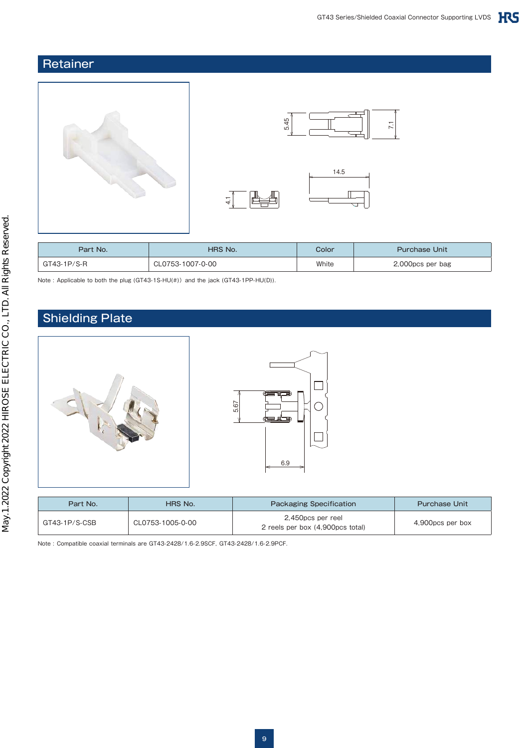# **Retainer**





 $\mathbf{H}$ 

| Part No.    | <b>HRS No.</b>   | Color | <b>Purchase Unit</b> |
|-------------|------------------|-------|----------------------|
| GT43-1P/S-R | CL0753-1007-0-00 | White | 2,000pcs per bag     |

 $4.1$ 

Note : Applicable to both the plug (GT43-1S-HU(#)) and the jack (GT43-1PP-HU(D)).

# Shielding Plate



| Part No.      | HRS No.          | <b>Packaging Specification</b>                        | <b>Purchase Unit</b> |
|---------------|------------------|-------------------------------------------------------|----------------------|
| GT43-1P/S-CSB | CL0753-1005-0-00 | 2,450pcs per reel<br>2 reels per box (4,900pcs total) | 4,900pcs per box     |

Note : Compatible coaxial terminals are GT43-2428/1.6-2.9SCF, GT43-2428/1.6-2.9PCF.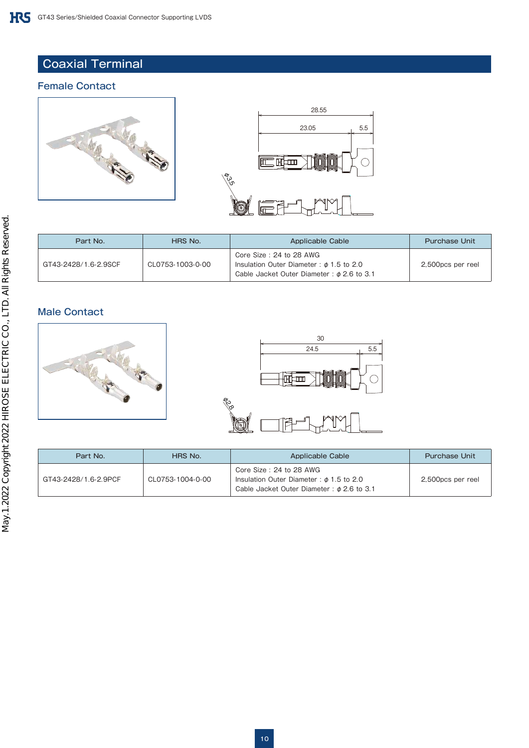## Coaxial Terminal

#### Female Contact





| Part No.             | HRS No.          | Applicable Cable                                                                                                          | <b>Purchase Unit</b> |
|----------------------|------------------|---------------------------------------------------------------------------------------------------------------------------|----------------------|
| GT43-2428/1.6-2.9SCF | CL0753-1003-0-00 | Core Size: 24 to 28 AWG<br>Insulation Outer Diameter: $\phi$ 1.5 to 2.0<br>Cable Jacket Outer Diameter: $\phi$ 2.6 to 3.1 | 2,500pcs per reel    |

#### Male Contact





| Part No.             | HRS No.          | Applicable Cable                                                                                                          | <b>Purchase Unit</b> |
|----------------------|------------------|---------------------------------------------------------------------------------------------------------------------------|----------------------|
| GT43-2428/1.6-2.9PCF | CL0753-1004-0-00 | Core Size: 24 to 28 AWG<br>Insulation Outer Diameter: $\phi$ 1.5 to 2.0<br>Cable Jacket Outer Diameter: $\phi$ 2.6 to 3.1 | 2,500pcs per reel    |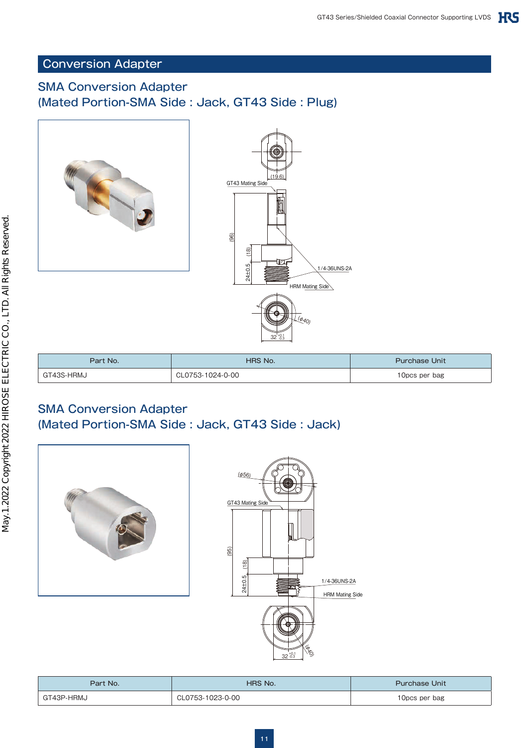## Conversion Adapter

# SMA Conversion Adapter (Mated Portion-SMA Side : Jack, GT43 Side : Plug)



| Part No.   | HRS No.          | <b>Purchase Unit</b> |
|------------|------------------|----------------------|
| GT43S-HRMJ | CL0753-1024-0-00 | 10pcs per bag        |

## SMA Conversion Adapter (Mated Portion-SMA Side : Jack, GT43 Side : Jack)





| Part No.   | HRS No.          | <b>Purchase Unit</b> |
|------------|------------------|----------------------|
| GT43P-HRMJ | CL0753-1023-0-00 | 10pcs per bag        |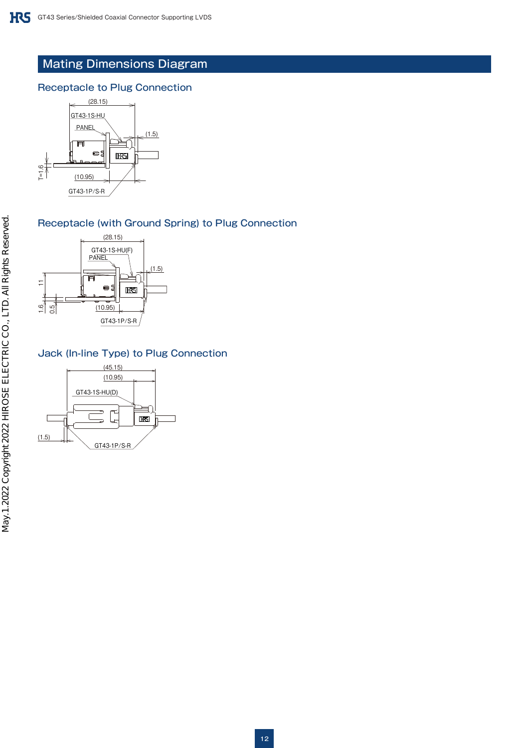# Mating Dimensions Diagram

#### Receptacle to Plug Connection



#### Receptacle (with Ground Spring) to Plug Connection



#### Jack (In-line Type) to Plug Connection